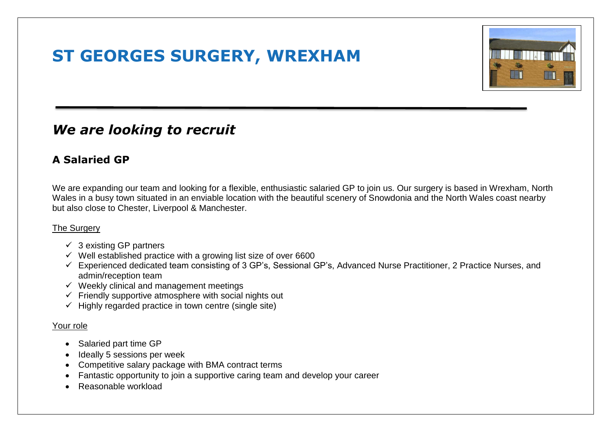## **ST GEORGES SURGERY, WREXHAM**



### *We are looking to recruit*

### **A Salaried GP**

We are expanding our team and looking for a flexible, enthusiastic salaried GP to join us. Our surgery is based in Wrexham, North Wales in a busy town situated in an enviable location with the beautiful scenery of Snowdonia and the North Wales coast nearby but also close to Chester, Liverpool & Manchester.

#### The Surgery

- $\checkmark$  3 existing GP partners
- $\checkmark$  Well established practice with a growing list size of over 6600
- Experienced dedicated team consisting of 3 GP's, Sessional GP's, Advanced Nurse Practitioner, 2 Practice Nurses, and admin/reception team
- $\checkmark$  Weekly clinical and management meetings
- $\checkmark$  Friendly supportive atmosphere with social nights out
- $\checkmark$  Highly regarded practice in town centre (single site)

#### Your role

- Salaried part time GP
- Ideally 5 sessions per week
- Competitive salary package with BMA contract terms
- Fantastic opportunity to join a supportive caring team and develop your career
- Reasonable workload